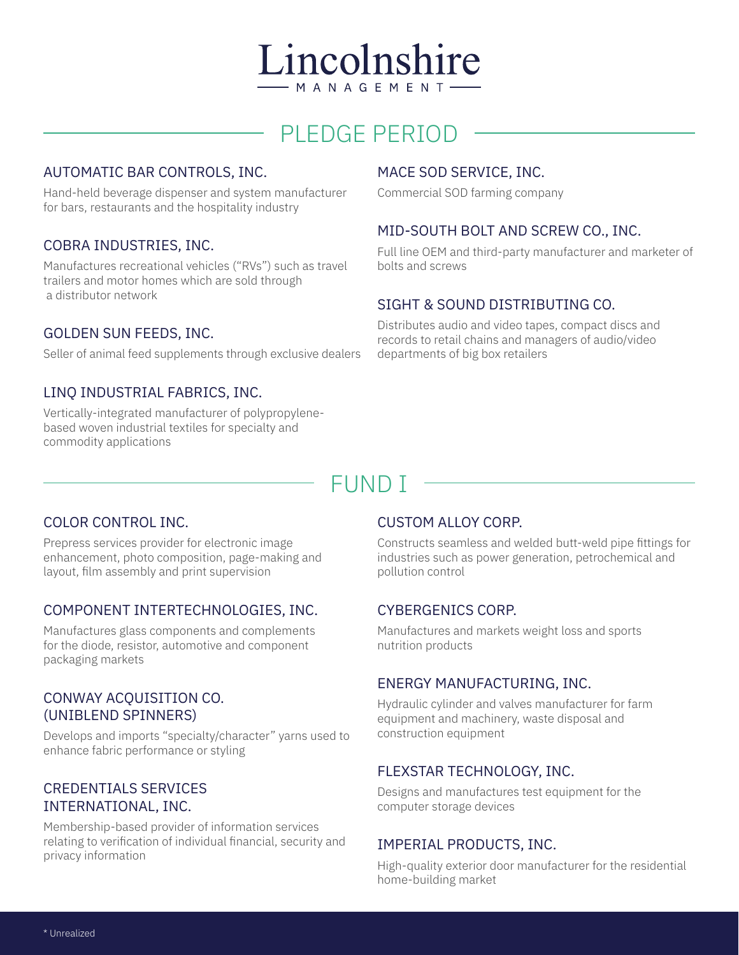# Lincolnshire - M A N A G E M E N T

# PLEDGE PERIOD

## AUTOMATIC BAR CONTROLS, INC.

Hand-held beverage dispenser and system manufacturer for bars, restaurants and the hospitality industry

# COBRA INDUSTRIES, INC.

Manufactures recreational vehicles ("RVs") such as travel trailers and motor homes which are sold through a distributor network

### GOLDEN SUN FEEDS, INC.

Seller of animal feed supplements through exclusive dealers

## LINQ INDUSTRIAL FABRICS, INC.

Vertically-integrated manufacturer of polypropylenebased woven industrial textiles for specialty and commodity applications

### MACE SOD SERVICE, INC.

Commercial SOD farming company

### MID-SOUTH BOLT AND SCREW CO., INC.

Full line OEM and third-party manufacturer and marketer of bolts and screws

## SIGHT & SOUND DISTRIBUTING CO.

Distributes audio and video tapes, compact discs and records to retail chains and managers of audio/video departments of big box retailers

# FUND I

### COLOR CONTROL INC.

Prepress services provider for electronic image enhancement, photo composition, page-making and layout, film assembly and print supervision

# COMPONENT INTERTECHNOLOGIES, INC.

Manufactures glass components and complements for the diode, resistor, automotive and component packaging markets

### CONWAY ACQUISITION CO. (UNIBLEND SPINNERS)

Develops and imports "specialty/character" yarns used to enhance fabric performance or styling

# CREDENTIALS SERVICES INTERNATIONAL, INC.

Membership-based provider of information services relating to verification of individual financial, security and privacy information

### CUSTOM ALLOY CORP.

Constructs seamless and welded butt-weld pipe fittings for industries such as power generation, petrochemical and pollution control

# CYBERGENICS CORP.

Manufactures and markets weight loss and sports nutrition products

### ENERGY MANUFACTURING, INC.

Hydraulic cylinder and valves manufacturer for farm equipment and machinery, waste disposal and construction equipment

# FLEXSTAR TECHNOLOGY, INC.

Designs and manufactures test equipment for the computer storage devices

### IMPERIAL PRODUCTS, INC.

High-quality exterior door manufacturer for the residential home-building market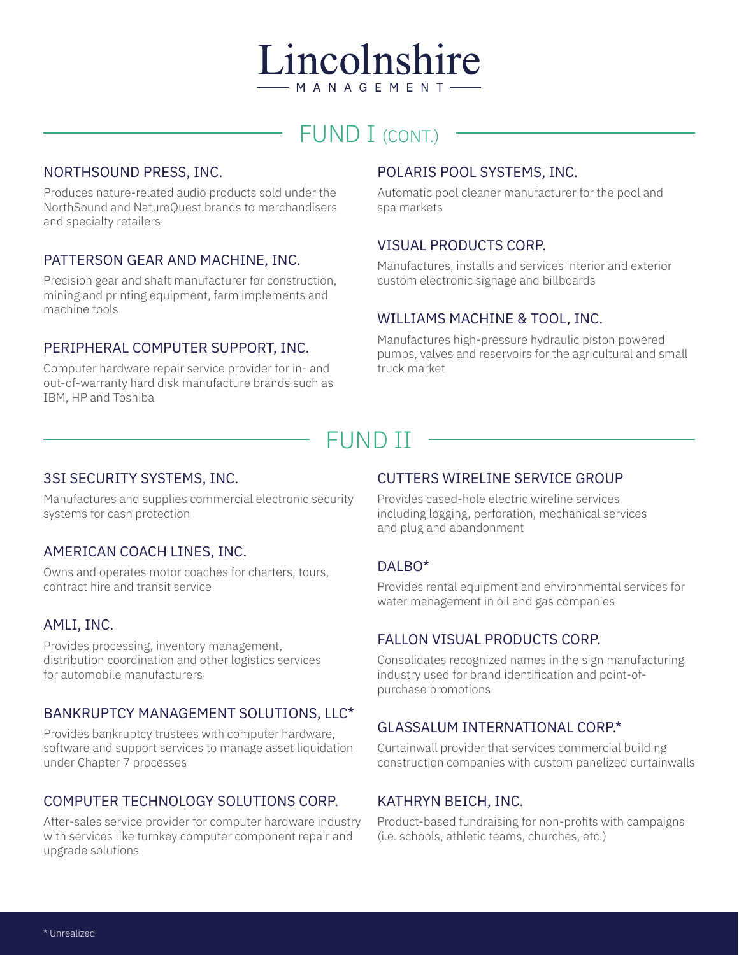# Lincolnshire - M A N A G E M E N T

# FUND I (CONT.)

## NORTHSOUND PRESS, INC.

Produces nature-related audio products sold under the NorthSound and NatureQuest brands to merchandisers and specialty retailers

### PATTERSON GEAR AND MACHINE, INC.

Precision gear and shaft manufacturer for construction, mining and printing equipment, farm implements and machine tools

# PERIPHERAL COMPUTER SUPPORT, INC.

Computer hardware repair service provider for in- and out-of-warranty hard disk manufacture brands such as IBM, HP and Toshiba

## POLARIS POOL SYSTEMS, INC.

Automatic pool cleaner manufacturer for the pool and spa markets

## VISUAL PRODUCTS CORP.

Manufactures, installs and services interior and exterior custom electronic signage and billboards

### WILLIAMS MACHINE & TOOL, INC.

Manufactures high-pressure hydraulic piston powered pumps, valves and reservoirs for the agricultural and small truck market

# FUND II

### 3SI SECURITY SYSTEMS, INC.

Manufactures and supplies commercial electronic security systems for cash protection

### AMERICAN COACH LINES, INC.

Owns and operates motor coaches for charters, tours, contract hire and transit service

### AMLI, INC.

Provides processing, inventory management, distribution coordination and other logistics services for automobile manufacturers

# BANKRUPTCY MANAGEMENT SOLUTIONS, LLC\*

Provides bankruptcy trustees with computer hardware, software and support services to manage asset liquidation under Chapter 7 processes

# COMPUTER TECHNOLOGY SOLUTIONS CORP.

After-sales service provider for computer hardware industry with services like turnkey computer component repair and upgrade solutions

### CUTTERS WIRELINE SERVICE GROUP

Provides cased-hole electric wireline services including logging, perforation, mechanical services and plug and abandonment

# DALBO\*

Provides rental equipment and environmental services for water management in oil and gas companies

### FALLON VISUAL PRODUCTS CORP.

Consolidates recognized names in the sign manufacturing industry used for brand identification and point-ofpurchase promotions

### GLASSALUM INTERNATIONAL CORP.\*

Curtainwall provider that services commercial building construction companies with custom panelized curtainwalls

### KATHRYN BEICH, INC.

Product-based fundraising for non-profits with campaigns (i.e. schools, athletic teams, churches, etc.)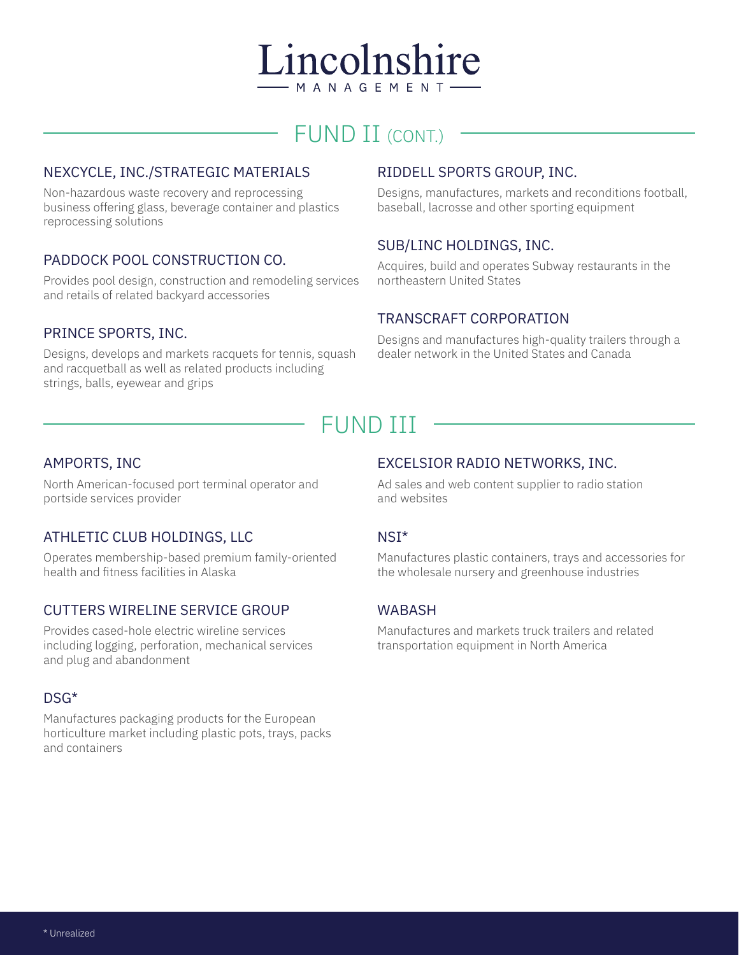

# FUND II (CONT.)

## NEXCYCLE, INC./STRATEGIC MATERIALS

Non-hazardous waste recovery and reprocessing business offering glass, beverage container and plastics reprocessing solutions

## PADDOCK POOL CONSTRUCTION CO.

Provides pool design, construction and remodeling services and retails of related backyard accessories

#### PRINCE SPORTS, INC.

Designs, develops and markets racquets for tennis, squash and racquetball as well as related products including strings, balls, eyewear and grips

# RIDDELL SPORTS GROUP, INC.

Designs, manufactures, markets and reconditions football, baseball, lacrosse and other sporting equipment

### SUB/LINC HOLDINGS, INC.

Acquires, build and operates Subway restaurants in the northeastern United States

### TRANSCRAFT CORPORATION

Designs and manufactures high-quality trailers through a dealer network in the United States and Canada

# FUND III

#### AMPORTS, INC

North American-focused port terminal operator and portside services provider

# ATHLETIC CLUB HOLDINGS, LLC

Operates membership-based premium family-oriented health and fitness facilities in Alaska

### CUTTERS WIRELINE SERVICE GROUP

Provides cased-hole electric wireline services including logging, perforation, mechanical services and plug and abandonment

#### DSG\*

Manufactures packaging products for the European horticulture market including plastic pots, trays, packs and containers

### EXCELSIOR RADIO NETWORKS, INC.

Ad sales and web content supplier to radio station and websites

#### NSI\*

Manufactures plastic containers, trays and accessories for the wholesale nursery and greenhouse industries

### WABASH

Manufactures and markets truck trailers and related transportation equipment in North America